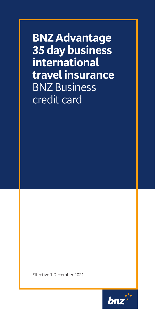**BNZ Advantage 35 day business international travel insurance** BNZ Business credit card

Effective 1 December 2021

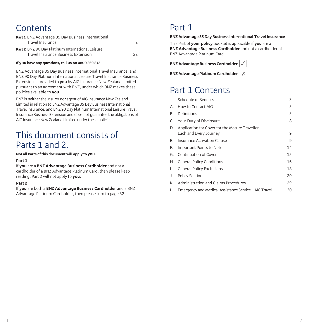# **Contents**

| Part 1 BNZ Advantage 35 Day Business International |    |
|----------------------------------------------------|----|
| Travel Insurance                                   |    |
| Part 2 BNZ 90 Day Platinum International Leisure   |    |
| Travel Insurance Business Extension                | 32 |

#### **If you have any questions, call us on 0800 269 872**

BNZ Advantage 35 Day Business International Travel Insurance, and BNZ 90 Day Platinum International Leisure Travel Insurance Business Extension is provided to **you** by AIG Insurance New Zealand Limited pursuant to an agreement with BNZ, under which BNZ makes these policies available to **you**.

BNZ is neither the insurer nor agent of AIG Insurance New Zealand Limited in relation to BNZ Advantage 35 Day Business International Travel Insurance, and BNZ 90 Day Platinum International Leisure Travel Insurance Business Extension and does not guarantee the obligations of AIG Insurance New Zealand Limited under these policies.

# This document consists of Parts 1 and 2.

**Not all Parts of this document will apply to you.**

#### **Part 1**

If **you** are a **BNZ Advantage Business Cardholder** and not a cardholder of a BNZ Advantage Platinum Card, then please keep reading. Part 2 will not apply to **you**.

### **Part 2**

If **you** are both a **BNZ Advantage Business Cardholder** and a BNZ Advantage Platinum Cardholder, then please turn to page 32.

# Part 1

#### **BNZ Advantage 35 Day Business International Travel Insurance**

This Part of **your policy** booklet is applicable if **you** are a **BNZ Advantage Business Cardholder** and not a cardholder of BNZ Advantage Platinum Card.

**BNZ Advantage Business Cardholder** 

**BNZ Advantage Platinum Cardholder**  $X$ 



# Part 1 Contents

|    | Schedule of Benefits                                                        | 3  |
|----|-----------------------------------------------------------------------------|----|
|    | A. How to Contact AIG                                                       | 5  |
| В. | Definitions                                                                 | 5  |
|    | C. Your Duty of Disclosure                                                  | 8  |
|    | D. Application for Cover for the Mature Traveller<br>Each and Every Journey | 9  |
|    | E. Insurance Activation Clause                                              | 9  |
|    | F. Important Points to Note                                                 | 14 |
|    | G. Continuation of Cover                                                    | 15 |
|    | H. General Policy Conditions                                                | 16 |
|    | I. General Policy Exclusions                                                | 18 |
|    | J. Policy Sections                                                          | 20 |
|    | K. Administration and Claims Procedures                                     | 29 |
| L. | Emergency and Medical Assistance Service - AIG Travel                       | 30 |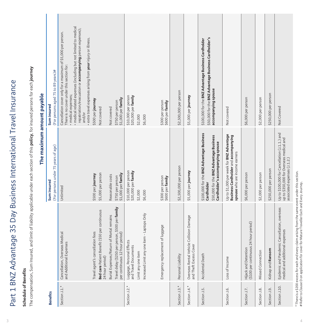Part 1 BNZ Advantage 35 Day Business International Travel Insurance Part 1 BNZ Advantage 35 Day Business International Travel Insurance

# Schedule of Benefits **Schedule of Benefits**

The compensation, Sum Insured, and limit of liability applicable under each section of this **policy**, for insured persons for each **journey** The compensation, Sum Insured, and limit of liability applicable under each section of this **policy**, for insured persons for each **journey**

|                                 |                                                                                    | The maximum amount payable                                                                                                            |                                                                                                                                                                                                                                                                                                                                         |
|---------------------------------|------------------------------------------------------------------------------------|---------------------------------------------------------------------------------------------------------------------------------------|-----------------------------------------------------------------------------------------------------------------------------------------------------------------------------------------------------------------------------------------------------------------------------------------------------------------------------------------|
| <b>Benefits</b>                 |                                                                                    | (For persons under 75 years of age)<br>Sum insured                                                                                    | (For persons aged 75 to 89 years)#<br>Sum insured                                                                                                                                                                                                                                                                                       |
| Section J.1.*                   | Cancellation, Overseas Medical<br>and Additional Expenses                          | Unlimited                                                                                                                             | medical related expenses (including but not limited to medical<br>repatriation/evacuation or accompanying person expenses);<br>Cancellation cover only for a maximum of \$5,000 per person.<br>extra travel expenses arising from your injury or illness.<br>There is no cover under this section for:<br>· medical expenses;<br>and/or |
|                                 | Travel agent's cancellation fees                                                   | \$500 per journey                                                                                                                     | \$500 per journey                                                                                                                                                                                                                                                                                                                       |
|                                 | Bed care Patient Benefit (\$50 per continuous<br>24 hour period)                   | \$5,000 per person                                                                                                                    | Not covered                                                                                                                                                                                                                                                                                                                             |
|                                 | Burial Expenses/Return of Mortal remains                                           | Reasonable costs                                                                                                                      | Not covered                                                                                                                                                                                                                                                                                                                             |
|                                 | Travel delay (\$250 per person, \$500 per family<br>per continuous 12 hour period) | \$1,000 per family<br>\$750 per person                                                                                                | \$1,000 per family<br>\$750 per person                                                                                                                                                                                                                                                                                                  |
| Section J.2.                    | Luggage, Personal Effects<br>and Travel Documents                                  | \$10,000 per person<br>\$20,000 per family                                                                                            | \$10,000 per person<br>\$20,000 per family                                                                                                                                                                                                                                                                                              |
|                                 | Limit any one item                                                                 | \$2,000                                                                                                                               | \$2,000                                                                                                                                                                                                                                                                                                                                 |
|                                 | Increased Limit any one item - Laptops Only                                        | \$6,000                                                                                                                               | \$6,000                                                                                                                                                                                                                                                                                                                                 |
|                                 | Emergency replacement of luggage                                                   | \$300 per person<br>\$600 per <b>family</b>                                                                                           | \$300 per person<br>\$600 per family                                                                                                                                                                                                                                                                                                    |
| Section J.3.*                   | Personal Liability                                                                 | \$2,500,000 per person                                                                                                                | \$2,500,000 per person                                                                                                                                                                                                                                                                                                                  |
| Section J.4.*                   | Overseas Rental Vehicle Collision Damage<br>and Theft Excess Cover                 | \$5,000 per journey                                                                                                                   | \$5,000 per journey                                                                                                                                                                                                                                                                                                                     |
| Section J.5.                    | Death<br>Accidental                                                                | \$100,000 for the BNZ Advantage Business<br>\$50,000 for the BNZ Advantage Business<br>Cardholder's accompanying spouse<br>Cardholder | \$50,000 for the BNZ Advantage Business Cardholder's<br>\$100,000 for the BNZ Advantage Business Cardholder<br>accompanying spouse                                                                                                                                                                                                      |
| Section J.6.                    | Loss of Income                                                                     | Up to \$1,000 per week for BNZ Advantage<br>Business Cardholder and accompanying<br>spouse who are income earners                     | Not covered                                                                                                                                                                                                                                                                                                                             |
| Section J.7.                    | Hijack and Detention<br>(\$100 per continuous 24 hour period)                      | \$6,000 per person                                                                                                                    | \$6,000 per person                                                                                                                                                                                                                                                                                                                      |
| Section J.8.                    | Missed Connection                                                                  | \$2,000 per person                                                                                                                    | \$2,000 per person                                                                                                                                                                                                                                                                                                                      |
| Section J.9.                    | Ransom<br>Kidnap and                                                               | \$250,000 per person                                                                                                                  | \$250,000 per person                                                                                                                                                                                                                                                                                                                    |
| Section J.10.                   | Epidemic and Pandemic Cancellation, overseas<br>medical and additional expenses    | Up to \$100,000 for Cancellation (J.1.1.) and<br>up to \$350,000 for Overseas medical and<br>associated expenses (J.1.2.)             | Not Covered                                                                                                                                                                                                                                                                                                                             |
| * Thara in a C200 avears for as | こうちょう こうしょう こうしょう うちょう うらうりょう うちょう うちょう こうしょうしょうしょうしょう                             |                                                                                                                                       |                                                                                                                                                                                                                                                                                                                                         |

Ė É

4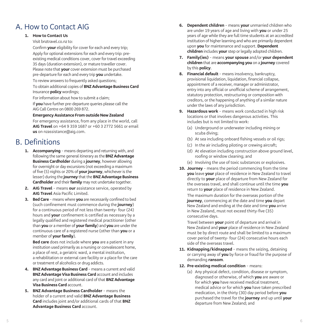# A. How to Contact AIG

# **1. How to Contact Us**

Visit bnztravel.co.nz to:

Confirm **your** eligibility for cover for each and every trip; Apply for optional extensions for each and every trip: preexisting medical conditions cover, cover for travel exceeding 35 days (duration extension), or mature traveller cover. Please note that **your** cover extension must be purchased pre-departure for each and every trip **you** undertake.

To review answers to frequently asked questions:

 To obtain additional copies of **BNZ Advantage Business Card** Insurance **policy** wordings;

For information about how to submit a claim;

 If **you** have further pre-departure queries please call the AIG Call Centre on 0800 269 872.

### **Emergency Assistance From outside New Zealand**

 For emergency assistance, from any place in the world, call **AIG Travel** on +64 9 359 1687 or +60 3 2772 5661 or email **us** on nzassistance@aig.com.

# B. Definitions

- **1. Accompanying** means departing and returning with, and following the same general itinerary as the **BNZ Advantage Business Cardholder** during a **journey**, however allowing for overnight or day excursions (not exceeding a maximum of five (5) nights or 20% of **your journey**, whichever is the lesser) during the **journey** that the **BNZ Advantage Business Cardholder** and their **family** may not undertake together.
- **2. AIG Travel** means **our** assistance service, operated by **AIG Travel** Asia Pacific Limited.
- **3. Bed Care** means where **you** are necessarily confined to bed (such confinement must commence during the **journey**) for a continuous period of not less than twenty- four (24) hours and **your** confinement is certified as necessary by a legally qualified and registered medical practitioner (other than **you** or a member of **your family**) and **you** are under the continuous care of a registered nurse (other than **you** or a member of **your family**).

**Bed care** does not include where **you** are a patient in any institution used primarily as a nursing or convalescent home, a place of rest, a geriatric ward, a mental institution, a rehabilitation or external care facility or a place for the care or treatment of alcoholics or drug addicts.

- **4. BNZ Advantage Business Card** means a current and valid **BNZ Advantage Visa Business Card** account and includes any card and joint or additional card of that **BNZ Advantage Visa Business Card** account.
- **5. BNZ Advantage Business Cardholder** means the holder of a current and valid **BNZ Advantage Business Card** includes joint and/or additional cards of that **BNZ Advantage Business Card** account.
- **6. Dependent children** means **your** unmarried children who are under 19 years of age and living with **you** or under 25 years of age while they are full time students at an accredited institution of higher learning and who are primarily dependent upon **you** for maintenance and support. **Dependent children** includes **your** step or legally adopted children.
- **7. Family(ies)** means **your spouse** and/or **your dependent children** that are **accompanying you** on a **journey** covered by this **policy**.
- **8. Financial default**  means insolvency, bankruptcy, provisional liquidation, liquidation, financial collapse, appointment of a receiver, manager or administrator, entry into any official or unofficial scheme of arrangement, statutory protection, restructuring or composition with creditors, or the happening of anything of a similar nature under the laws of any jurisdiction.
- **9. Hazardous work** means work conducted in high risk locations or that involves dangerous activities. This includes but is not limited to work:
	- (a) Underground or underwater including mining or scuba diving;
	- (b) At sea including onboard fishing vessels or oil rigs;
	- (c) In the air including piloting or crewing aircraft;
	- (d) At elevation including construction above ground level, roofing or window cleaning; and
	- (e) Involving the use of toxic substances or explosives.
- **10. Journey** means the period commencing from the time **you** leave **your** place of residence in New Zealand to travel directly to **your** place of departure from New Zealand for the overseas travel, and shall continue until the time **you** return to **your** place of residence in New Zealand.

 The maximum duration for the overseas portion of the **journey**, commencing at the date and time **you** depart New Zealand and ending at the date and time **you** arrive in New Zealand, must not exceed thirty-five (35) consecutive days.

 Travel between **your** point of departure and arrival in New Zealand and **your** place of residence in New Zealand must be by direct route and shall be limited to a maximum cover period of twenty- four (24) consecutive hours each side of the overseas travel.

- **11. Kidnapping/kidnapped** means the seizing, detaining or carrying away of **you** by force or fraud for the purpose of demanding **ransom**.
- **12. Pre-existing medical condition** means:
	- (a) Any physical defect, condition, disease or symptom, diagnosed or otherwise, of which **you** are aware or for which **you** have received medical treatment, medical advice or for which **you** have taken prescribed medication, in the thirty (30) day period before **you** purchased the travel for the **journey** and up until **your** departure from New Zealand; and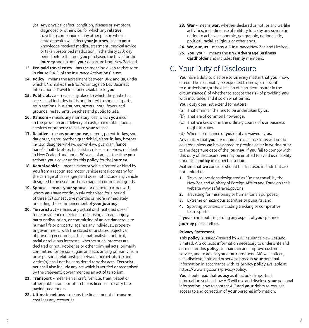- (b) Any physical defect, condition, disease or symptom, diagnosed or otherwise, for which any **relative**, travelling companion or any other person whose state of health will affect **your journey**, has to **your** knowledge received medical treatment, medical advice or taken prescribed medication, in the thirty (30) day period before the time **you** purchased the travel for the **journey** and up until **your** departure from New Zealand.
- **13. Pre-paid travel costs** has the meaning given to that term in clause E.4.2. of the Insurance Activation Clause.
- **14. Policy** means the agreement between BNZ and **us**, under which BNZ makes the BNZ Advantage 35 Day Business International Travel Insurance available to **you** .
- **15. Public place** means any place to which the public has access and includes but is not limited to shops, airports, train stations, bus stations, streets, hotel foyers and grounds, restaurants, beaches and public toilets.
- **16. Ransom** means any monetary loss, which **you** incur in the provision and delivery of cash, marketable goods, services or property to secure **your** release.
- **17. Relative** means **your spouse**, parent, parent-in-law, son, daughter, sister, brother, grandchild, sister-in-law, brotherin- law, daughter-in-law, son-in-law, guardian, fiancé, fiancée, half- brother, half-sister, niece or nephew, resident in New Zealand and under 80 years of age at the time **you** activate **your** cover under this **policy** for the **journey** .
- **18. Rental vehicle** means a motor vehicle rented or hired by **you** from a recognised motor vehicle rental company for the carriage of passengers and does not include any vehicle designed to be used for the carriage of commercial goods.
- **19. Spouse** means **your spouse**, or de facto partner with whom **you** have continuously cohabited for a period of three (3) consecutive months or more immediately preceding the commencement of **your journey** .
- **20. Terrorist act** means any actual or threatened use of force or violence directed at or causing damage, injury, harm or disruption, or committing of an act dangerous to human life or property, against any individual, property or government, with the stated or unstated objective of pursuing economic, ethnic, nationalistic, political, racial or religious interests, whether such interests are declared or not. Robberies or other criminal acts, primarily committed for personal gain and acts arising primarily from prior personal relationships between perpetrator(s) and victim(s) shall not be considered terrorist acts. **Terrorist act** shall also include any act which is verified or recognised by the (relevant) government as an act of terrorism.
- **21. Transport** means an aircraft, vehicle, train, vessel or other public transportation that is licensed to carry farepaying passengers.
- **22. Ultimate net loss** means the final amount of **ransom** cost less any recoveries.
- **23. War** means **war**, whether declared or not, or any warlike activities, including use of military force by any sovereign nation to achieve economic, geographic, nationalistic, political, racial, religious or other ends.
- **24. We, our, us** means AIG Insurance New Zealand Limited.
- **25. You, your** means the **BNZ Advantage Business Cardholder** and includes **family** members.

# C. Your Duty of Disclosure

**You** have a duty to disclose to **us** every matter that **you** know, or could be reasonably be expected to know, is relevant to **our** decision (or the decision of a prudent insurer in the circumstances) of whether to accept the risk of providing **you** with insurance, and if so on what terms.

Your duty does not extend to matters:

- (a) That diminish the risk to be undertaken by **us** .
- (b) That are of common knowledge.
- (c) That **we** know or in the ordinary course of **our** business ought to know.
- (d) Where compliance of **your** duty is waived by **us** .

Any matter that **you** are required to disclose to **us** will not be covered unless **we** have agreed to provide cover in writing prior to the departure date of the **journey**. If **you** fail to comply with this duty of disclosure, **we** may be entitled to avoid **our** liability under this **policy** in respect of a claim.

Matters that **we** consider should be disclosed include but are not limited to:

- **1.** Travel to locations designated as 'Do not travel' by the New Zealand Ministry of Foreign Affairs and Trade on their website www.safetravel.govt.nz;
- **2.** Travelling for missionary or humanitarian purposes;
- **3.** Extreme or hazardous activities or pursuits; and
- **4.** Sporting activities, including trekking or competitive team sports.

If **you** are in doubt regarding any aspect of **your** planned **journey** please tell **us**.

### **Privacy Statement**

This **policy** is issued/insured by AIG Insurance New Zealand Limited. AIG collects information necessary to underwrite and administer this **policy**, to maintain and improve customer service, and to advise **you** of **our** products. AIG will collect, use, disclose, hold and otherwise process **your** personal information in accordance with its privacy **policy** available at https://www.aig.co.nz/privacy-policy.

**You** should read that **policy** as it includes important information such as how AIG will use and disclose **your** personal information, how to contact AIG and **your** rights to request access to and correction of **your** personal information.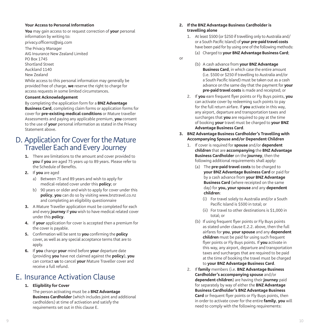### **Your Access to Personal Information**

**You** may gain access to or request correction of **your** personal information by writing to:

privacy.officernz@aig.com

The Privacy Manager AIG Insurance New Zealand Limited PO Box 1745 Shortland Street Auckland 1140 New Zealand

While access to this personal information may generally be provided free of charge, **we** reserve the right to charge for access requests in some limited circumstances.

#### **Consent Acknowledgement**

By completing the application form for a **BNZ Advantage Business Card**, completing claim forms or application forms for cover for **pre-existing medical conditions** or Mature traveller Assessments and paying any applicable premium, **you** consent to the use of **your** personal information as stated in the Privacy Statement above.

# D. Application for Cover for the Mature Traveller Each and Every Journey

- **1.** There are limitations to the amount and cover provided to **you** if **you** are aged 75 years up to 89 years. Please refer to the Schedule of Benefits.
- **2.** If **you** are aged
	- a) Between 75 and 89 years and wish to apply for medical-related cover under this **policy**; or
	- b) 90 years or older and wish to apply for cover under this **policy**, **you** can do so by visiting www.bnztravel.co.nz and completing an eligibility questionnaire
- **3.** A Mature Traveller application must be completed for each and every **journey** if **you** wish to have medical related cover under this **policy** .
- **4.** If **your** application for cover is accepted then a premium for the cover is payable.
- **5.** Confirmation will be sent to **you** confirming the **policy** cover, as well as any special acceptance terms that are to apply.
- **6.** If **you** change **your** mind before **your** departure date (providing **you** have not claimed against the **policy**), **you** can contact **us** to cancel **your** Mature Traveller cover and receive a full refund.

# E. Insurance Activation Clause

# **1. Eligibility for Cover**

 The person activating must be a **BNZ Advantage Business Cardholder** (which includes joint and additional cardholders) at time of activation and satisfy the requirements set out in this clause E.

### **2. If the BNZ Advantage Business Cardholder is travelling alone**

- 1. At least \$500 (or \$250 if travelling only to Australia and/ or a South Pacific Island) of **your pre-paid travel costs** have been paid for by using one of the following methods:
	- (a) Charged to **your BNZ Advantage Business Card**;
- or
- (b) A cash advance from **your BNZ Advantage Business Card**, in which case the entire amount (i.e. \$500 or \$250 if travelling to Australia and/or a South Pacific Island) must be taken out as a cash advance on the same day that the payment for **your pre-paid travel costs** is made and receipted; or
- 2. If **you** earn frequent flyer points or Fly Buys points, **you** can activate cover by redeeming such points to pay for the full return airfare. If **you** activate in this way, any airport, departure and transportation taxes and surcharges that **you** are required to pay at the time of booking **your** travel must be charged to **your BNZ Advantage Business Card** .
- **3. BNZ Advantage Business Cardholder's Travelling with Accompanying Spouse and/or Dependent Children**
	- 1. If cover is required for **spouse** and/or **dependent children** that are **accompanying** the **BNZ Advantage Business Cardholder** on the **journey**, then the following additional requirements shall apply:
		- (a) The **pre-paid travel costs** to be charged to **your BNZ Advantage Business Card** or paid for by a cash advance from **your BNZ Advantage Business Card** (where receipted on the same day) for **you, your spouse** and any **dependent children** :
			- (i) For travel solely to Australia and/or a South Pacific Island is \$500 in total; or
			- (ii) For travel to other destinations is \$1,000 in total; or
		- (b) If using frequent flyer points or Fly Buys points as stated under clause E.2.2. above, then the full airfares for **you** , **your spouse** and any **dependent children** must be paid for using such frequent flyer points or Fly Buys points. If **you** activate in this way, any airport, departure and transportation taxes and surcharges that are required to be paid at the time of booking the travel must be charged to **your BNZ Advantage Business Card** .
	- 2. If **family** members (i.e. **BNZ Advantage Business Cardholder's accompanying spouse** and/or **dependent children**) are having their **journey** paid for separately by way of either the **BNZ Advantage Business Cardholder's BNZ Advantage Business Card** or frequent flyer points or Fly Buys points, then in order to activate cover for the entire **family**, **you** will need to comply with the following requirements: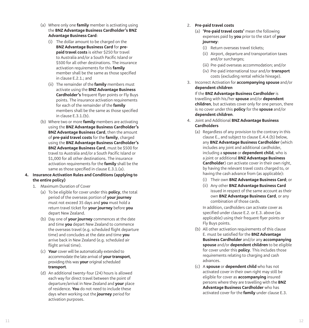- (a) Where only one **family** member is activating using the **BNZ Advantage Business Cardholder's BNZ Advantage Business Card** :
	- (i) The dollar amount to be charged on the **BNZ Advantage Business Card** for **prepaid travel costs** is either \$250 for travel to Australia and/or a South Pacific Island or \$500 for all other destinations. The insurance activation requirements for this **family** member shall be the same as those specified in clause E.2.1.; and
	- (ii) The remainder of the **family** members must activate using the **BNZ Advantage Business Cardholder's** frequent flyer points or Fly Buys points. The insurance activation requirements for each of the remainder of the **family** members shall be the same as those specified in clause E.3.1.(b).
- (b) Where two or more **family** members are activating using the **BNZ Advantage Business Cardholder's BNZ Advantage Business Card**, then the amount of **pre-paid travel costs** for the **family**, charged using the **BNZ Advantage Business Cardholder's BNZ Advantage Business Card**, must be \$500 for travel to Australia and/or a South Pacific Island or \$1,000 for all other destinations. The insurance activation requirements for the **family** shall be the same as those specified in clause E.3.1.(a).

## **4. Insurance Activation Rules and Conditions (applying to the entire policy)**

- 1. Maximum Duration of Cover
	- (a) To be eligible for cover under this **policy**, the total period of the overseas portion of **your journey** must not exceed 35 days and **you** must hold a return travel ticket for **your journey** before **you** depart New Zealand.
	- (b) Day one of **your journey** commences at the date and time **you** depart New Zealand to commence the overseas travel (e.g. scheduled flight departure time) and concludes at the date and time **you** arrive back in New Zealand (e.g. scheduled air flight arrival time).
	- (c) **Your** cover will be automatically extended to accommodate the late arrival of **your transport**, providing this was **your** original scheduled **transport** .
	- (d) An additional twenty-four (24) hours is allowed each way for direct travel between the point of departure/arrival in New Zealand and **your** place of residence. **You** do not need to include these days when working out the **journey** period for activation purposes.
- 2. **Pre-paid travel costs**
	- (a) **'Pre-paid travel costs'** mean the following expenses paid by **you** prior to the start of **your journey** :
		- (i) Return overseas travel tickets;
		- (ii) Airport, departure and transportation taxes and/or surcharges;
		- (iii) Pre-paid overseas accommodation; and/or
		- (iv) Pre-paid international tour and/or **transport** costs (excluding rental vehicle hireage).
- 3. Incorrect Activation for **accompanying spouse** and/or **dependent children**

## If the **BNZ Advantage Business Cardholder** is travelling with his/her **spouse** and/or **dependent children**, but activates cover only for one person, there is no cover under this **policy** for the **spouse** and/or **dependent children** .

- 4. Joint and Additional **BNZ Advantage Business Cardholders**
	- (a) Regardless of any provision to the contrary in this clause E., and subject to clause E.4.4.(b) below, any **BNZ Advantage Business Cardholder** (which includes any joint and additional cardholder, including a **spouse** or **dependent child**, who is a joint or additional **BNZ Advantage Business Cardholder**) can activate cover in their own right, by having the relevant travel costs charged to, or having the cash advance from (as applicable):
		- (i) Their own **BNZ Advantage Business Card**; or
		- (ii) Any other **BNZ Advantage Business Card** issued in respect of the same account as their own **BNZ Advantage Business Card**, or any combination of those cards.

 In addition, cardholders can activate cover as specified under clause E.2. or E.3. above (as applicable) using their frequent flyer points or Fly Buys points.

- (b) All other activation requirements of this clause E. must be satisfied for the **BNZ Advantage Business Cardholder** and/or any **accompanying spouse** and/or **dependent children** to be eligible for cover under this **policy**. This includes those requirements relating to charging and cash advances.
- (c) A **spouse** or **dependent child** who has not activated cover in their own right may still be eligible for cover as **accompanying** insured persons where they are travelling with the **BNZ Advantage Business Cardholder** who has activated cover for the **family** under clause E.3.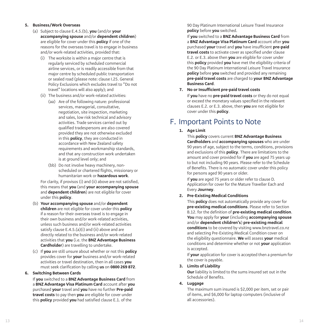# **5. Business/Work Overseas**

- (a) Subject to clause E.4.5.(b), **you** (and/or **your accompanying spouse** and/or **dependent children**) are eligible for cover under this **policy** if one of the reasons for the overseas travel is to engage in business and/or work-related activities, provided that:
	- (i) The worksite is within a major centre that is regularly serviced by scheduled commercial airline services, or is readily accessible from that major centre by scheduled public transportation or sealed road (please note: clause I.25. General Policy Exclusions which excludes travel to "Do not travel" locations will also apply); and
	- (ii) The business and/or work-related activities:
		- (aa) Are of the following nature: professional services, managerial, consultative, negotiation, site inspection, marketing and sales, low risk technical and advisory activities. Trade services carried out by qualified tradespersons are also covered provided they are not otherwise excluded in this **policy**, they are conducted in accordance with New Zealand safety requirements and workmanship standards, and that any construction work undertaken is at ground level only; and
		- (bb) Do not involve heavy machinery, nonscheduled or chartered flights, missionary or humanitarian work or **hazardous work** .

 For clarity, if provisos (i) and (ii) above are not satisfied, this means that **you** (and **your accompanying spouse** and **dependent children**) are not eligible for cover under this **policy** .

- (b) **Your accompanying spouse** and/or **dependent children** are not eligible for cover under this **policy** if a reason for their overseas travel is to engage in their own business and/or work-related activities, unless such business and/or work-related activities satisfy clause E.4.5.(a)(i) and (ii) above and are directly related to the business and/or work-related activities that **you** (i.e. the **BNZ Advantage Business Cardholder**) are travelling to undertake.
- (c) If **you** are still unsure about whether or not this **policy** provides cover for **your** business and/or work-related activities or travel destination, then in all cases **you** must seek clarification by calling **us** on **0800 269 872** .

### **6. Switching Between Cards**

 If **you** switched to a **BNZ Advantage Business Card** from a **BNZ Advantage Visa Platinum Card** account after **you** purchased **your** travel and **you** have no further **Pre-paid travel costs** to pay then **you** are eligible for cover under this **policy** provided **you** had satisfied clause E.1. of the

90 Day Platinum International Leisure Travel Insurance **policy** before **you** switched.

 If **you** switched to a **BNZ Advantage Business Card** from a **BNZ Advantage Visa Platinum Card** account after **you** purchased **your** travel and **you** have insufficient **pre-paid travel costs** to activate cover as specified under clause E.2. or E.3. above then **you** are eligible for cover under this **policy** provided **you** have met the eligibility criteria of the 90 Day Platinum International Leisure Travel Insurance **policy** before **you** switched and provided any remaining **pre-paid travel costs** are charged to **your BNZ Advantage Business Card** .

# **7. No or Insufficient pre-paid travel costs**

 If **you** have no **pre-paid travel costs** or they do not equal or exceed the monetary values specified in the relevant clauses E.2. or E.3. above, then **you** are not eligible for cover under this **policy** .

# F. Important Points to Note

**1. Age Limit**

 This **policy** covers current **BNZ Advantage Business Cardholders** and **accompanying spouses** who are under 90 years of age, subject to the terms, conditions, provisions and exclusions of this **policy**. There are limitations to the amount and cover provided for if **you** are aged 75 years up to but not including 90 years. Please refer to the Schedule of Benefits. There is no automatic cover under this policy for persons aged 90 years or older.

 If **you** are aged 75 years or older refer to clause D. Application for cover for the Mature Traveller Each and Every **Journey** .

**2. Pre-Existing Medical Conditions**

 This **policy** does not automatically provide any cover for **pre-existing medical conditions**. Please refer to Section B.12. for the definition of **pre-existing medical condition**. **You** may apply for **your** (including **accompanying spouse** and/or **dependent children's**) **pre-existing medical conditions** to be covered by visiting www.bnztravel.co.nz and selecting Pre-Existing Medical Condition cover on the eligibility questionnaire. **We** will assess **your** medical conditions and determine whether or not **your** application is accepted.

 If **your** application for cover is accepted then a premium for the cover is payable.

**3. Limits of Liability**

**Our** liability is limited to the sums insured set out in the Schedule of Benefits.

**4. Luggage**

 The maximum sum insured is \$2,000 per item, set or pair of items, and \$6,000 for laptop computers (inclusive of all accessories).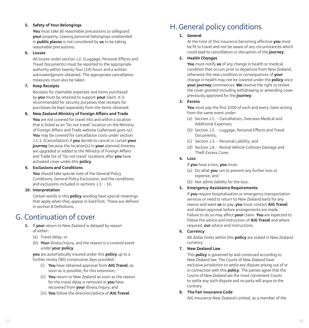# **5. Safety of Your Belongings**

**You** must take all reasonable precautions to safeguard **your** property. Leaving personal belongings unattended in **public places** is not considered by **us** to be taking reasonable precautions.

### **6. Losses**

 All losses under section J.2. (Luggage, Personal Effects and Travel Documents) must be reported to the appropriate authority within twenty-four (24) hours and a written acknowledgment obtained. The appropriate cancellation measures must also be taken.

# **7. Keep Receipts**

 Receipts for claimable expenses and items purchased by **you** must be retained to support **your** claim. It is recommended for security purposes that receipts for purchases be kept separately from the items obtained.

# **8. New Zealand Ministry of Foreign Affairs and Trade**

**You** are not covered for travel into and within a location that is listed as an 'Do not travel' location on the Ministry of Foreign Affairs and Trade website (safetravel.govt.nz). **You** may be covered for cancellation costs under section J.1.1. (Cancellation) if **you** decide to cancel or curtail **your journey** because the location(s) in **your** planned itinerary are upgraded or added to the Ministry of Foreign Affairs and Trade list of 'Do not travel' locations after **you** have activated cover under this **policy**.

# **9. Exclusions and Conditions**

**You** should take special note of the General Policy Conditions, General Policy Exclusions, and the conditions and exclusions included in sections  $11 - 10$ .

# **10. Interpretation**

 Certain words in this **policy** wording have special meanings that apply when they appear in bold font. These are defined in section B Definitions.

# G. Continuation of cover

- **1.** If **your** return to New Zealand is delayed by reason of either:
	- (a) Travel delay; or
	- (b) **Your** illness/injury, and the reason is a covered event under **your policy**,

 **you** are automatically insured under this **policy** up to a further ninety (90) consecutive days provided:

- (i) **You** have obtained approval from **AIG Travel**, as soon as is possible, for this extension;
- (ii) **You** return to New Zealand as soon as the reason for the travel delay is removed or **you** have recovered from **your** illness/injury; and
- (iii) **You** follow the direction/advice of **AIG Travel**.

# H.General policy conditions

# **1. General**

 At the time of this insurance becoming effective **you** must be fit to travel and not be aware of any circumstances which could lead to cancellation or disruption of the **journey**.

# **2. Health Changes**

**You** must notify **us** of any change in health or medical condition that occurs prior to departure from New Zealand, otherwise the new condition or consequences of **your** change in health may not be covered under the **policy** once **your journey** commences. **We** reserve the right to review the cover granted including withdrawing or amending cover previously approved for the **journey**.

# **3. Excess**

**You** must pay the first \$200 of each and every claim arising from the same event under:

- (a) Section J.1. Cancellation, Overseas Medical and Additional Expenses;
- (b) Section J.2. Luggage, Personal Effects and Travel Documents;
- (c) Section J.3. Personal Liability; and
- (d) Section J.4. Rental Vehicle Collision Damage and Theft Excess Cover.

# **4. Loss**

If **you** have a loss, **you** must:

- (a) Do what **you** can to prevent any further loss or expense; and
- (b) Not admit liability for the loss.

# **5. Emergency Assistance Requirements**

 If **you** require hospitalisation or emergency transportation services or need to return to New Zealand early for any reason and want **us** to pay, **you** must contact **AIG Travel** and obtain approval before arrangements are made. Failure to do so may affect **your** claim. **You** are expected to follow the advice and instruction of **AIG Travel** and where required, **our** advice and instructions.

**6. Currency**

 All dollar limits within this **policy** are stated in New Zealand currency.

**7. New Zealand Law**

 This **policy** is governed by and construed according to New Zealand law. The Courts of New Zealand have exclusive jurisdiction to settle any dispute arising out of or in connection with this **policy**. The parties agree that the Courts of New Zealand are the most convenient Courts to settle any such dispute and no party will argue to the contrary.

### **8. The Fair Insurance Code**

AIG Insurance New Zealand Limited, as a member of the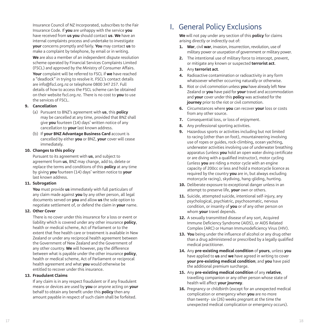Insurance Council of NZ Incorporated, subscribes to the Fair Insurance Code. If **you** are unhappy with the service **you** have received from **us you** should contact **us**. **We** have an internal complaints process and undertake to investigate **your** concerns promptly and fairly. **You** may contact **us** to make a complaint by telephone, by email or in writing. **We** are also a member of an independent dispute resolution scheme operated by Financial Services Complaints Limited (FSCL) and approved by the Ministry of Consumer Affairs. **Your** complaint will be referred to FSCL if **we** have reached a "deadlock" in trying to resolve it. FSCL's contact details are info@fscl.org.nz or telephone 0800 347 257. Full details of how to access the FSCL scheme can be obtained on their website fscl.org.nz. There is no cost to **you** to use the services of FSCL.

#### **9. Cancellation**

- (a) Pursuant to BNZ's agreement with **us**, this **policy** may be cancelled at any time, provided that BNZ shall give **you** fourteen (14) days' written notice of any cancellation to **your** last known address.
- (b) If **your BNZ Advantage Business Card** account is cancelled by either **you** or BNZ, **your** cover will cease immediately.

#### **10. Changes to this policy**

 Pursuant to its agreement with **us**, and subject to agreement from **us**, BNZ may change, add to, delete or replace the terms and conditions of this **policy** at any time by giving **you** fourteen (14) days' written notice to **your** last known address.

### **11. Subrogation**

**You** must provide **us** immediately with full particulars of any claim made against **you** by any other person, all legal documents served on **you** and allow **us** the sole option to negotiate settlement of, or defend the claim in **your** name.

#### **12. Other Cover**

 There is no cover under this insurance for a loss or event or liability which is covered under any other insurance **policy**, health or medical scheme, Act of Parliament or to the extent that free health care or treatment is available in New Zealand or under any reciprocal health agreement between the Government of New Zealand and the Government of any other country. **We** will however, pay the difference between what is payable under the other insurance **policy**, health or medical scheme, Act of Parliament or reciprocal health agreement and what **you** would otherwise be entitled to recover under this insurance.

# **13. Fraudulent Claims**

 If any claim is in any respect fraudulent or if any fraudulent means or devices are used by **you** or anyone acting on **your** behalf to obtain any benefit under this **policy** then any amount payable in respect of such claim shall be forfeited.

# I. General Policy Exclusions

**We** will not pay under any section of this **policy** for claims arising directly or indirectly out of:

- **1. War**, civil **war**, invasion, insurrection, revolution, use of military power or usurpation of government or military power.
- **2.** The intentional use of military force to intercept, prevent, or mitigate any known or suspected **terrorist act** .
- **3.** Any **terrorist act** .
- **4.** Radioactive contamination or radioactivity in any form whatsoever whether occurring naturally or otherwise.
- **5.** Riot or civil commotion unless **you** have already left New Zealand or **you** have paid for **your** travel and accommodation and **your** cover under this **policy** was activated for the **journey** prior to the riot or civil commotion.
- **6.** Circumstances where **you** can recover **your** loss or costs from any other source.
- **7.** Consequential loss, or loss of enjoyment.
- **8.** Any professional sporting activities.
- **9.** Hazardous sports or activities including but not limited to racing (other than on foot), mountaineering involving use of ropes or guides, rock-climbing, ocean yachting, underwater activities involving use of underwater breathing apparatus (unless **you** hold an open water diving certificate or are diving with a qualified instructor), motor cycling (unless **you** are riding a motor cycle with an engine capacity of 200cc or less and hold a motorcycle licence as required by the country **you** are in, but always excluding motorcycle racing), skydiving, hang-gliding, hunting.
- **10.** Deliberate exposure to exceptional danger unless in an attempt to preserve life, **your** own or others.
- **11.** Suicide, attempted suicide, intentional self-injury, any psychological, psychiatric, psychosomatic, nervous condition, or insanity of **you** or of any other person on whom **your** travel depends.
- **12.** A sexually transmitted disease of any sort, Acquired Immune Deficiency Syndrome (AIDS), or AIDS Related Complex (ARC) or Human Immunodeficiency Virus (HIV).
- **13. You** being under the influence of alcohol or any drug other than a drug administered or prescribed by a legally qualified medical practitioner.
- **14.** Any **pre-existing medical condition** of **yours**, unless **you** have applied to **us** and **we** have agreed in writing to cover **your pre-existing medical condition**; and **you** have paid the additional premium surcharge.
- **15.** Any **pre-existing medical condition** of any **relative**, travelling companion or any other person whose state of health will affect **your journey** .
- **16.** Pregnancy or childbirth (except for an unexpected medical complication or emergency when **you** are no more than twenty- six (26) weeks pregnant at the time the unexpected medical complication or emergency occurs).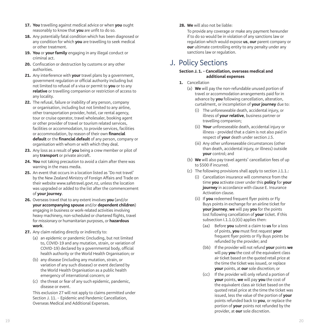- **17. You** travelling against medical advice or when **you** ought reasonably to know that **you** are unfit to do so.
- **18.** Any potentially fatal condition which has been diagnosed or any condition for which **you** are travelling to seek medical or other treatment.
- **19. You** or **your family** engaging in any illegal conduct or criminal act.
- **20.** Confiscation or destruction by customs or any other authorities.
- **21.** Any interference with **your** travel plans by a government, government regulation or official authority including but not limited to refusal of a visa or permit to **you** or to any **relative** or travelling companion or restriction of access to any locality.
- **22.** The refusal, failure or inability of any person, company or organisation, including but not limited to any airline, other transportation provider, hotel, car rental agency, tour or cruise operator, travel wholesaler, booking agent or other provider of travel or tourism related services, facilities or accommodation, to provide services, facilities or accommodation, by reason of their own **financial default** or the **financial default** of any person, company or organisation with whom or with which they deal.
- **23.** Any loss as a result of **you** being a crew member or pilot of any **transport** or private aircraft.
- **24. You** not taking precaution to avoid a claim after there was warning in the mass media.
- **25.** An event that occurs in a location listed as 'Do not travel' by the New Zealand Ministry of Foreign Affairs and Trade on their website www.safetravel.govt.nz, unless the location was upgraded or added to the list after the commencement of **your journey** .
- **26.** Overseas travel that to any extent involves **you** (and/or **your accompanying spouse** and/or **dependent children**) engaging in business or work-related activities involving heavy machinery, non-scheduled or chartered flights, travel for missionary or humanitarian purposes, or **hazardous work** .
- **27.** Any claim relating directly or indirectly to:
	- (a) an epidemic or pandemic (including, but not limited to, COVID-19 and any mutation, strain, or variation of COVID-19) declared by a governmental body, official health authority or the World Health Organisation; or
	- (b) any disease (including any mutation, strain, or variation of any such disease) or event declared by the World Health Organisation as a public health emergency of international concern; or
	- (c) the threat or fear of any such epidemic, pandemic, disease or event.

 This exclusion 27 will not apply to claims permitted under Section J. 11. – Epidemic and Pandemic Cancellation, Overseas Medical and Additional Expenses.

**28. We** will also not be liable:

 To provide any coverage or make any payment hereunder if to do so would be in violation of any sanctions law or regulation which would expose **us**, **our** parent company or **our** ultimate controlling entity to any penalty under any sanctions law or regulation.

# J. Policy Sections

# **Section J. 1. – Cancellation, overseas medical and additional expenses**

- **1.** Cancellation
	- (a) **We** will pay the non-refundable unused portion of travel or accommodation arrangements paid for in advance by **you** following cancellation, alteration, curtailment, or incompletion of **your journey** due to:
		- (i) The unforeseeable death, accidental injury, or illness of **your relative**, business partner or travelling companion;
		- (ii) **Your** unforeseeable death, accidental injury or illness - provided that a claim is not also paid in respect of **your** death under section J.5.
		- (iii) Any other unforeseeable circumstances (other than death, accidental injury, or illness) outside **your** control; and
	- (b) **We** will also pay travel agents' cancellation fees of up to \$500 if incurred.
	- (c) The following provisions shall apply to section J.1.1.:
		- (i) Cancellation insurance will commence from the time **you** activate cover under this **policy** for **your journey** in accordance with clause E. Insurance Activation clause.
		- (ii) If **you** redeemed frequent flyer points or Fly Buys points in exchange for an airline ticket for **your journey**, **we** will pay **you** for the points lost following cancellation of **your** ticket. If this subsection  $1.1.1(c)(ii)$  applies then:
			- (aa) Before **you** submit a claim to **us** for a loss of points, **you** must first request **your** frequent flyer points or Fly Buys points be refunded by the provider; and
			- (bb) If the provider will not refund **your** points **we** will pay **you** the cost of the equivalent class air ticket based on the quoted retail price at the time the ticket was issued, or replace **your** points, at **our** sole discretion; or
			- (cc) If the provider will only refund a portion of **your** points, **we** will pay **you** the cost of the equivalent class air ticket based on the quoted retail price at the time the ticket was issued, less the value of the portion of **your** points refunded back to **you**, or replace the portion of **your** points not refunded by the provider, at **our** sole discretion.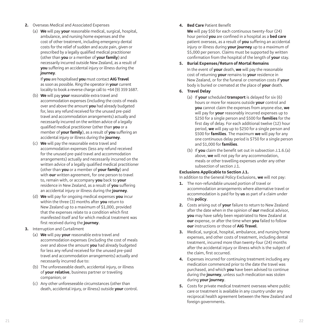- **2.** Overseas Medical and Associated Expenses
	- (a) **We** will pay **your** reasonable medical, surgical, hospital, ambulance, and nursing home expenses and the cost of other treatment, including emergency dental costs for the relief of sudden and acute pain, given or prescribed by a legally qualified medical practitioner (other than **you** or a member of **your family**) and necessarily incurred outside New Zealand, as a result of **you** suffering an accidental injury or illness during the **journey** .

 If **you** are hospitalised **you** must contact **AIG Travel**  as soon as possible. Ring the operator in **your** current locality to book a reverse charge call to +64 (9) 359 1687.

- (b) **We** will pay **your** reasonable extra travel and accommodation expenses (including the costs of meals over and above the amount **you** had already budgeted for, less any refund received for the unused pre-paid travel and accommodation arrangements) actually and necessarily incurred on the written advice of a legally qualified medical practitioner (other than **you** or a member of **your family**), as a result of **you** suffering an accidental injury or illness during the **journey** .
- (c) **We** will pay the reasonable extra travel and accommodation expenses (less any refund received for the unused pre-paid travel and accommodation arrangements) actually and necessarily incurred on the written advice of a legally qualified medical practitioner (other than **you** or a member of **your family**) and with **our** written agreement, for one person to travel to, remain with, or accompany **you** back to **your** residence in New Zealand, as a result of **you** suffering an accidental injury or illness during the **journey** .
- (d) **We** will pay for ongoing medical expenses **you** incur within the three (3) months after **you** return to New Zealand up to a maximum of \$1,000, provided that the expenses relate to a condition which first manifested itself and for which medical treatment was first received during the **journey** .
- **3.** Interruption and Curtailment
	- (a) **We** will pay **your** reasonable extra travel and accommodation expenses (including the cost of meals over and above the amount **you** had already budgeted for less any refund received for the unused pre-paid travel and accommodation arrangements) actually and necessarily incurred due to:
	- (b) The unforeseeable death, accidental injury, or illness of **your relative**, business partner or traveling companion; or
	- (c) Any other unforeseeable circumstances (other than death, accidental injury, or illness) outside **your** control.

# **4. Bed Care** Patient Benefit

**We** will pay \$50 for each continuous twenty-four (24) hour period **you** are confined in a hospital as a **bed care** patient overseas, as a result of **you** suffering an accidental injury or illness during **your journey** up to a maximum of \$5,000 per person. Claims must be supported by written confirmation from the hospital of the length of **your** stay.

# **5. Burial Expenses/Return of Mortal Remains**

 In the event of **your** death, **we** will pay the reasonable cost of returning **your** remains to **your** residence in New Zealand, or for the funeral or cremation costs if **your** body is buried or cremated at the place of **your** death.

- **6. Travel Delay**
	- (a) If **your** scheduled **transport** is delayed for six (6) hours or more for reasons outside **your** control and **you** cannot claim the expenses from anyone else, **we** will pay for **your** reasonably incurred expenses up to \$250 for a single person and \$500 for **families** for the first day of delay. For each additional twelve (12) hour period, **we** will pay up to \$250 for a single person and \$500 for **families**. The maximum **we** will pay for any one continuous delay period is \$750 for a single person and \$1,000 for **families** .
	- (b) If **you** claim the benefit set out in subsection J.1.6.(a) above, **we** will not pay for any accommodation, meals or other travelling expenses under any other subsection of section J.1.

# **Exclusions Applicable to Section J.1.**

In addition to the General Policy Exclusions, **we** will not pay:

- **1.** The non-refundable unused portion of travel or accommodation arrangements where alternative travel or accommodation is paid for by **us** as part of a claim under this **policy** .
- **2.** Costs arising out of **your** failure to return to New Zealand after the date when in the opinion of **our** medical advisor, **you** may have safely been repatriated to New Zealand at **our** expense, or after the time when **you** failed to follow **our** instructions or those of **AIG Travel** .
- **3.** Medical, surgical, hospital, ambulance, and nursing home expenses, and other costs of treatment, including dental treatment, incurred more than twenty-four (24) months after the accidental injury or illness which is the subject of the claim, first occurred.
- **4.** Expenses incurred for continuing treatment including any medication commenced prior to the date the travel was purchased, and which **you** have been advised to continue during the **journey**, unless such medication was stolen during **your journey** .
- **5.** Costs for private medical treatment overseas where public care or treatment is available in any country under any reciprocal health agreement between the New Zealand and foreign governments.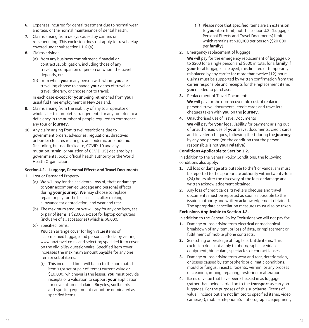- **6.** Expenses incurred for dental treatment due to normal wear and tear, or the normal maintenance of dental health.
- **7.** Claims arising from delays caused by carriers or re-scheduling. This exclusion does not apply to travel delay covered under subsectionJ.1.6.(a).
- **8.** Claims arising:
	- (a) from any business commitment, financial or contractual obligation, including those of any travelling companion or person on whom the travel depends, or:
	- (b) from when **you** or any person with whom **you** are travelling choose to change **your** dates of travel or travel itinerary, or choose not to travel;

 In each case except for **your** being retrenched from **your** usual full time employment in New Zealand.

- **9.** Claims arising from the inability of any tour operator or wholesaler to complete arrangements for any tour due to a deficiency in the number of people required to commence any tour or **journey** .
- **10.** Any claim arising from travel restrictions due to government orders, advisories, regulations, directives or border closures relating to an epidemic or pandemic (including, but not limited to, COVID-19 and any mutation, strain, or variation of COVID-19) declared by a governmental body, official health authority or the World Health Organisation.

# **Section J.2. – Luggage, Personal Effects and Travel Documents**

- **1.** Lost or Damaged Property
	- (a) **We** will pay for the accidental loss of, theft or damage to **your** accompanied luggage and personal effects during **your journey**. **We** may choose to replace, repair, or pay for the loss in cash, after making allowance for depreciation, and wear and tear.
	- (b) The maximum amount **we** will pay for any one item, set or pair of items is \$2,000, except for laptop computers (inclusive of all accessories) which is \$6,000.
	- (c) Specified Items:

 **You** can arrange cover for high value items of accompanied luggage and personal effects by visiting www.bnztravel.co.nz and selecting specified item cover on the eligibility questionnaire. Specified item cover increases the maximum amount payable for any one item or set of items.

 (i) This increased limit will be up to the nominated item's (or set or pair of items) current value or \$10,000, whichever is the lesser. **You** must provide receipts or a valuation to support **your** application for cover at time of claim. Bicycles, surfboards and sporting equipment cannot be nominated as specified items.

- (ii) Please note that specified items are an extension to **your** item limit, not the section J.2. (Luggage, Personal Effects and Travel Documents) limit, which remains at \$10,000 per person (\$20,000 per **family**).
- **2.** Emergency replacement of luggage

**We** will pay for the emergency replacement of luggage up to \$300 for a single person and \$600 in total for a **family** if **your** total luggage is delayed, misdirected or temporarily misplaced by any carrier for more than twelve (12) hours. Claims must be supported by written confirmation from the carrier responsible and receipts for the replacement items **you** needed to purchase.

**3.** Replacement of Travel Documents

**We** will pay for the non-recoverable cost of replacing personal travel documents, credit cards and travellers cheques taken with **you** on the **journey** .

**4.** Unauthorised use of Travel Documents

**We** will pay for **your** legal liability for payment arising out of unauthorised use of **your** travel documents, credit cards and travellers cheques, following theft during the **journey** by any one person (on the condition that the person responsible is not **your relative**).

# **Conditions Applicable to Section J.2.**

In addition to the General Policy Conditions, the following conditions also apply:

- **1.** All loss or damage attributable to theft or vandalism must be reported to the appropriate authority within twenty-four (24) hours after the discovery of the loss or damage and written acknowledgement obtained.
- **2.** Any loss of credit cards, travellers cheques and travel documents must be reported as soon as possible to the issuing authority and written acknowledgement obtained. The appropriate cancellation measures must also be taken.

# **Exclusions Applicable to Section J.2.**

In addition to the General Policy Exclusions **we** will not pay for:

- **1.** Damage or loss arising from electrical or mechanical breakdown of any item, or loss of data, or replacement or fulfillment of mobile phone contracts.
- **2.** Scratching or breakage of fragile or brittle items. This exclusion does not apply to photographic or video equipment, binoculars, spectacles or contact lenses.
- **3.** Damage or loss arising from wear and tear, deterioration, or losses caused by atmospheric or climatic conditions, mould or fungus, insects, rodents, vermin, or any process of cleaning, ironing, repairing, restoring or alteration.
- **4** . Items of value that have been checked in as luggage (rather than being carried on to the **transport** as carry on luggage). For the purposes of this subclause, "items of value" include but are not limited to specified items, video camera(s), mobile telephone(s), photographic equipment,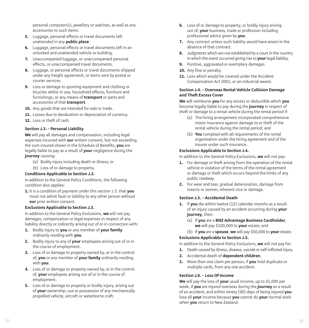personal computer(s), jewellery or watches, as well as any accessories to such items.

- **5.** Luggage, personal effects or travel documents left unattended in any **public place** .
- **6.** Luggage, personal effects or travel documents left in an unlocked and unattended vehicle or building.
- **7.** Unaccompanied luggage, or unaccompanied personal effects, or unaccompanied travel documents.
- **8.** Luggage, or personal effects or travel documents shipped under any freight agreement, or items sent by postal or courier services.
- **9.** Loss or damage to sporting equipment and clothing or bicycles whilst in use, household effects, furniture and furnishings, or any means of **transport** or parts and accessories of that **transport** .
- **10.** Any goods that are intended for sale or trade.
- **11.** Losses due to devaluation or depreciation of currency.
- **12.** Loss or theft of cash.

## **Section J.3. – Personal Liability**

**We** will pay all damages and compensation, including legal expenses incurred with **our** written consent, but not exceeding the sum insured shown in the Schedule of Benefits, **you** are legally liable to pay as a result of **your** negligence during the **journey** causing:

- (a) Bodily injury including death or illness; or
- (b) Loss of or damage to property.

### **Conditions Applicable to Section J.3.**

In addition to the General Policy Conditions, the following condition also applies:

**1.** It is a condition of payment under this section J.3. that **you** must not admit fault or liability to any other person without **our** prior written consent.

### **Exclusions Applicable to Section J.3.**

In addition to the General Policy Exclusions, **we** will not pay damages, compensation or legal expenses in respect of any liability directly or indirectly arising out of or in connection with:

- **1.** Bodily injury to **you** or any member of **your family** ordinarily residing with **you** .
- **2.** Bodily injury to any of **your** employees arising out of or in the course of employment.
- **3.** Loss of or damage to property owned by, or in the control of, **you** or any member of **your family** ordinarily residing with **you** .
- **4.** Loss of or damage to property owned by, or in the control of, **your** employees arising out of or in the course of employment.
- **5.** Loss of or damage to property or bodily injury, arising out of **your** ownership, use or possession of any mechanically propelled vehicle, aircraft or waterborne craft.
- **6.** Loss of or damage to property, or bodily injury arising out of, **your** business, trade or profession including professional advice given by **you** .
- **7.** Any contract unless such liability would have arisen in the absence of that contract.
- **8.** Judgments which are not established by a court in the country in which the event occurred giving rise to **your** legal liability.
- **9.** Punitive, aggravated or exemplary damages.
- **10.** Any fine or penalty.
- 11. Loss which would be covered under the Accident Compensation Act 2001, or an industrial award.

### **Section J.4. – Overseas Rental Vehicle Collision Damage and Theft Excess Cover**

**We** will reimburse **you** for any excess or deductible which **you** become legally liable to pay during the **journey** in respect of theft or damage to a rental vehicle during the rental period if:

- (a) The hiring arrangement incorporated comprehensive motor insurance against damage to or theft of the rental vehicle during the rental period; and
- (b) **You** complied with all requirements of the rental organisation under the hiring agreement and of the insurer under such insurance.

# **Exclusions Applicable to Section J.4.**

In addition to the General Policy Exclusions, **we** will not pay:

- **1.** For damage or theft arising from the operation of the rental vehicle in violation of the terms of the rental agreement or damage or theft which occurs beyond the limits of any public roadway.
- **2.** For wear and tear, gradual deterioration, damage from insects or vermin, inherent vice or damage.

### **Section J.5. – Accidental Death**

- **1.** If **you** die within twelve (12) calendar months as a result of an injury caused by an accident occurring during **your journey**, then:
	- (a) If **you** are a **BNZ Advantage Business Cardholder**, **we** will pay \$100,000 to **your** estate; and
	- (b) If **you** are a **spouse**, **we** will pay \$50,000 to **your** estate.

### **Exclusions Applicable to Section J.5.**

In addition to the General Policy Exclusions, **we** will not pay for:

- **1.** Death caused by illness, disease, suicide or self-inflicted injury.
- **2.** Accidental death of **dependent children** .
- **3.** More than one claim per person, if **you** hold duplicate or multiple cards, from any one accident.

### **Section J.6. – Loss Of Income**

**We** will pay the loss of **your** usual income, up to \$1,000 per week, if **you** are injured overseas during the **journey** as a result of an accident, and within ninety (90) days of being injured **you** lose all **your** income because **you** cannot do **your** normal work when **you** return to New Zealand.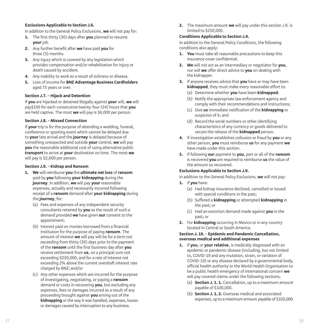# **Exclusions Applicable to Section J.6.**

In addition to the General Policy Exclusions, **we** will not pay for:

- **1.** The first thirty (30) days after **you** planned to resume **your** job.
- **2.** Any further benefit after **we** have paid **you** for three (3) months.
- **3.** Any injury which is covered by any legislation which provides compensation and/or rehabilitation for injury or death caused by accident.
- **4.** Any inability to work as a result of sickness or disease.
- **5.** Loss of income for **BNZ Advantage Business Cardholders** aged 75 years or over.

# **Section J.7. – Hijack and Detention**

If **you** are hijacked or detained illegally against **your** will, **we** will pay\$100 for each consecutive twenty-four (24) hours that **you** are held captive. The most **we** will pay is \$6,000 per person.

## **Section J.8. – Missed Connection**

If **your** trip is for the purpose of attending a wedding, funeral, conference or sporting event which cannot be delayed due to **your** late arrival and the **journey** is delayed because of something unexpected and outside **your** control, **we** will pay **you** the reasonable additional cost of using alternative public **transport** to arrive at **your** destination on time. The most **we** will pay is \$2,000 per person.

### **Section J.9. – Kidnap and Ransom**

- **1. We** will reimburse **you** the **ultimate net loss** of **ransom** paid by **you** following **your kidnapping** during the **journey**. In addition, **we** will pay **your** reasonable expenses, actually and necessarily incurred following receipt of a **ransom** demand after **your kidnapping** during the **journey**, for:
	- (a) Fees and expenses of any independent security consultants retained by **you** as the result of such a demand provided **we** have given **our** consent to the appointment;
	- (b) Interest paid on monies borrowed from a financial institution for the purpose of paying **ransom**. The amount of interest **we** will pay will be for a term not exceeding from thirty (30) days prior to the payment of the **ransom** until the first business day after **you** receive settlement from **us**, on a principal sum not exceeding \$250,000, and for a rate of interest not exceeding 2% above the current overdraft interest rate charged by BNZ; and/or
	- (c) Any other expenses which are incurred for the purpose of investigating, negotiating, or paying a **ransom** demand or costs in recovering **you**, but excluding any expenses, fees or damages incurred as a result of any proceeding brought against **you** arising out of the **kidnapping** or the way it was handled, expenses, losses or damages caused by interruption to any business.

**2.** The maximum amount **we** will pay under this section J.9. is limited to \$250,000.

### **Conditions Applicable to Section J.9.**

In addition to the General Policy Conditions, the following conditions also apply:

- **1. You** must take all reasonable precautions to keep this insurance cover confidential.
- **2. We** will not act as an intermediary or negotiator for **you**, nor will **we** offer direct advice to **you** on dealing with the kidnapper.
- **3.** If anyone receives advice that **you** have or may have been **kidnapped**, they must make every reasonable effort to:
	- (a) Determine whether **you** have been **kidnapped** ;
	- (b) Notify the appropriate law enforcement agency and comply with their recommendations and instructions;
	- (c) Give **us** immediate notification of the **kidnapping** or suspicion of it; and
	- (d) Record the serial numbers or other identifying characteristics of any currency or goods delivered to secure the release of the **kidnapped** person.
- **4.** If investigation establishes collusion or fraud by **you** or any other person, **you** must reimburse **us** for any payment **we** have made under this section.
- **5.** If following **our** payment to **you**, part or all of the **ransom** is recovered **you** are required to reimburse **us** the value of the amount so recovered.

# **Exclusions Applicable to Section J.9.**

In addition to the General Policy Exclusions, **we** will not pay:

- **1.** If **you** have:
	- (a) Had kidnap insurance declined, cancelled or issued with special conditions in the past;
	- (b) Suffered a **kidnapping** or attempted **kidnapping** in the past; or
	- (c) Had an extortion demand made against **you** in the past; or
- **2.** For **kidnapping** occurring in Mexico or in any country located in Central or South America.

### **Section J. 10. – Epidemic and Pandemic Cancellation, overseas medical and additional expenses**

- **1.** If **you**, or **your relative**, is medically diagnosed with an epidemic or pandemic disease (including, but not limited to, COVID-19 and any mutation, strain, or variation of COVID-19) or any disease declared by a governmental body, official health authority or the World Health Organisation to be a public health emergency of international concern **we** will pay covered claims under the following sections;
	- (a) **Section J. 1. 1.** Cancellation, up to a maximum amount payable of \$100,000.
	- (b) **Section J. 1. 2.** Overseas medical and associated expenses, up to a maximum amount payable of \$350,000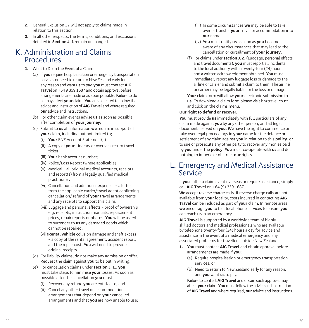- **2.** General Exclusion 27 will not apply to claims made in relation to this section.
- **3.** In all other respects, the terms, conditions, and exclusions detailed in **Section J. 1** remain unchanged.

# K. Administration and Claims Procedures

- **1.** What to Do in the Event of a Claim
	- (a) If **you** require hospitalisation or emergency transportation services or need to return to New Zealand early for any reason and want **us** to pay, **you** must contact **AIG Travel** on +64 9 359 1687 and obtain approval before arrangements are made or as soon possible. Failure to do so may affect **your** claim. **You** are expected to follow the advice and instruction of **AIG Travel** and where required, **our** advice and instructions;
	- (b) For other claim events advise **us** as soon as possible after completion of **your journey**;
	- (c) Submit to **us** all information **we** require in support of **your** claim, including but not limited to;
		- (i) **Your** BNZ Account Statement(s)
		- (ii) A copy of **your** itinerary or overseas return travel ticket;
		- (iii) **Your** bank account number;
		- (iv) Police/Loss Report (where applicable)
		- (v) Medical all original medical accounts, receipts and report(s) from a legally qualified medical practitioner.
		- (vi) Cancellation and additional expenses a letter from the applicable carrier/travel agent confirming cancellation/ refund of **your** travel arrangements and any receipts to support this claim.
		- (vii) Luggage and personal effects proof of ownership e.g. receipts, instruction manuals, replacement prices, repair reports or photos. **You** will be asked to surrender to **us** any damaged goods which cannot be repaired.
		- (viii) **Rental vehicle** collision damage and theft excess – a copy of the rental agreement, accident report, and the repair cost. **You** will need to provide original receipts.
	- (d) For liability claims, do not make any admission or offer. Request the claim against **you** to be put in writing.
	- (e) For cancellation claims under **section J. 1.**, **you** must take steps to minimise **your** losses. As soon as possible after the cancellation **you** must:
		- (i) Recover any refund **you** are entitled to; and
		- (ii) Cancel any other travel or accommodation arrangements that depend on **your** cancelled arrangements and that **you** are now unable to use;
- (iii) In some circumstances **we** may be able to take over or transfer **your** travel or accommodation into **our** name.
- (iv) **You** must notify **us** as soon as **you** become aware of any circumstances that may lead to the cancellation or curtailment of **your journey**;
- (f) For claims under **section J. 2.** (Luggage, personal effects and travel documents), **you** must report all incidents to the local authority within twenty-four (24) hours and a written acknowledgment obtained. **You** must immediately report any luggage loss or damage to the airline or carrier and submit a claim to them. The airline or carrier may be legally liable for the loss or damage.

**Your** claim form will allow **your** electronic submission to **us**. To download a claim form please visit bnztravel.co.nz and click on the claims menu.

# **Our right to defend or recover.**

**You** must provide **us** immediately with full particulars of any claim made against **you** by any other person, and all legal documents served on **you**. **We** have the right to commence or take over legal proceedings in **your** name for the defence or settlement of any claim against **you** in relation to this **policy**, or to sue or prosecute any other party to recover any monies paid by **you** under the **policy**. **You** must co-operate with **us** and do nothing to impede or obstruct **our** rights.

# L. Emergency and Medical Assistance Service

If **you** suffer a claim event overseas or require assistance, simply call **AIG Travel** on +64 (9) 359 1687.

**We** accept reverse charge calls. If reverse charge calls are not available from **your** locality, costs incurred in contacting **AIG Travel** can be included as part of **your** claim. In remote areas **we** encourage **you** to test local phone services to ensure **you** can reach **us** in an emergency.

**AIG Travel** is supported by a worldwide team of highly skilled doctors and medical professionals who are available by telephone twenty-four (24) hours a day for advice and assistance in the event of a medical emergency and any associated problems for travellers outside New Zealand.

- **1. You** must contact **AIG Travel** and obtain approval before arrangements are made if **you**:
	- (a) Require hospitalisation or emergency transportation services; or
	- (b) Need to return to New Zealand early for any reason, and **you** want **us** to pay.

 Failure to contact **AIG Travel** and obtain such approval may affect **your** claim. **You** must follow the advice and instruction of **AIG Travel** and where required, **our** advice and instructions.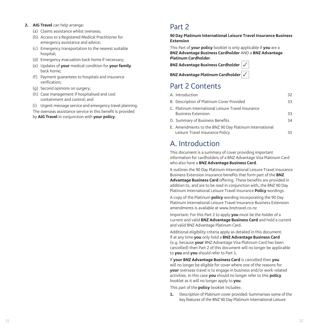# **2. AIG Travel** can help arrange:

- (a) Claims assistance whilst overseas;
- (b) Access to a Registered Medical Practitioner for emergency assistance and advice;
- (c) Emergency transportation to the nearest suitable hospital;
- (d) Emergency evacuation back home if necessary;
- (e) Updates of **your** medical condition for **your family** back home;
- (f) Payment guarantees to hospitals and insurance verification;
- (g) Second opinions on surgery;
- (h) Case management if hospitalised and cost containment and control; and
- (i) Urgent message service and emergency travel planning.

 The overseas assistance service in this benefit is provided by **AIG Travel** in conjunction with **your policy**.

# Part 2

**90 Day Platinum International Leisure Travel Insurance Business Extension**

This Part of **your policy** booklet is only applicable if **you** are a **BNZ Advantage Business Cardholder** AND a **BNZ Advantage Platinum Cardholder**.

**BNZ Advantage Business Cardholder** 

**BNZ Advantage Platinum Cardholder** 

# Part 2 Contents

| A. Introduction                                                                           | 32 |
|-------------------------------------------------------------------------------------------|----|
| B. Description of Platinum Cover Provided                                                 | 33 |
| C. Platinum International Leisure Travel Insurance<br><b>Business Extension</b>           | 33 |
| D. Summary of Business Benefits                                                           | 34 |
| E. Amendments to the BNZ 90 Day Platinum International<br>Leisure Travel Insurance Policy |    |

# A. Introduction

This document is a summary of cover providing important information for cardholders of a BNZ Advantage Visa Platinum Card who also have a **BNZ Advantage Business Card**.

It outlines the 90 Day Platinum International Leisure Travel Insurance Business Extension insurance benefits that form part of the **BNZ Advantage Business Card** offering. These benefits are provided in addition to, and are to be read in conjunction with, the BNZ 90 Day Platinum International Leisure Travel Insurance **Policy** wordings.

A copy of the Platinum **policy** wording incorporating the 90 Day Platinum International Leisure Travel Insurance Business Extension amendments is available at www.bnztravel.co.nz

Important: For this Part 2 to apply **you** must be the holder of a current and valid **BNZ Advantage Business Card** and hold a current and valid BNZ Advantage Platinum Card.

Additional eligibility criteria apply as detailed in this document. If at any time **you** only hold a **BNZ Advantage Business Card** (e.g. because **your** BNZ Advantage Visa Platinum Card has been cancelled) then Part 2 of this document will no longer be applicable to **you** and **you** should refer to Part 1.

If **your BNZ Advantage Business Card** is cancelled then **you** will no longer be eligible for cover where one of the reasons for **your** overseas travel is to engage in business and/or work-related activities. In this case **you** should no longer refer to this **policy** booklet as it will no longer apply to **you**.

This part of the **policy** booklet includes:

**1.** Description of Platinum cover provided: Summarises some of the key features of the BNZ 90 Day Platinum International Leisure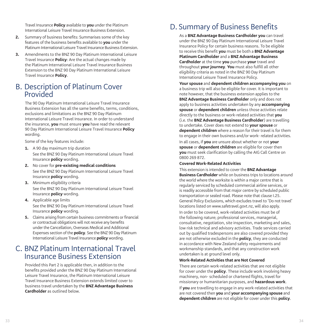Travel Insurance **Policy** available to **you** under the Platinum International Leisure Travel Insurance Business Extension.

- **2.** Summary of business benefits: Summarises some of the key features of the business benefits available to **you** under the Platinum International Leisure Travel Insurance Business Extension.
- **3.** Amendments to the BNZ 90 Day Platinum International Leisure Travel Insurance **Policy**: Are the actual changes made by the Platinum International Leisure Travel Insurance Business Extension to the BNZ 90 Day Platinum International Leisure Travel Insurance **Policy**.

# B. Description of Platinum Cover

The 90 Day Platinum International Leisure Travel Insurance Business Extension has all the same benefits, terms, conditions, exclusions and limitations as the BNZ 90 Day Platinum International Leisure Travel Insurance. In order to understand the insurance, **you** must ensure **you** have read the relevant 90 Day Platinum International Leisure Travel Insurance **Policy** wording.

Some of the key features include:

- **1.** A 90 day maximum trip duration See the BNZ 90 Day Platinum International Leisure Travel Insurance **policy** wording.
- **2.** No cover for **pre-existing medical conditions** See the BNZ 90 Day Platinum International Leisure Travel Insurance **policy** wording.
- **3.** Minimum eligibility criteria See the BNZ 90 Day Platinum International Leisure Travel Insurance **policy** wording.
- **4.** Applicable age limits See the BNZ 90 Day Platinum International Leisure Travel Insurance **policy** wording.
- **5.** Claims arising from certain business commitments or financial or contractual obligations will not receive any benefits under the Cancellation, Overseas Medical and Additional Expenses section of the **policy**. See the BNZ 90 Day Platinum International Leisure Travel Insurance **policy** wording.

# C. BNZ Platinum International Travel Insurance Business Extension

Provided this Part 2 is applicable then, in addition to the benefits provided under the BNZ 90 Day Platinum International Leisure Travel Insurance, the Platinum International Leisure Travel Insurance Business Extension extends limited cover to business travel undertaken by the **BNZ Advantage Business Cardholder** as outlined below.

# D. Summary of Business Benefits

As a **BNZ Advantage Business Cardholder you** can travel under the BNZ 90 Day Platinum International Leisure Travel Insurance Policy for certain business reasons. To be eligible to receive this benefit **you** must be both a **BNZ Advantage Platinum Cardholder** and a **BNZ Advantage Business Cardholder** at the time **you** purchase **your** travel and throughout **your journey**. **You** must also fulfill all other eligibility criteria as noted in the BNZ 90 Day Platinum International Leisure Travel Insurance Policy.

**Your spouse** and **dependent children accompanying you** on a business trip will also be eligible for cover. It is important to note however, that the business extension applies to the **BNZ Advantage Business Cardholder** only and does not apply to business activities undertaken by any **accompanying spouse** or **dependent children** unless those activities relate directly to the business or work-related activities that **you** (i.e. the **BNZ Advantage Business Cardholder**) are travelling to undertake. Cover does not extend to **your spouse** or **dependent children** where a reason for their travel is for them to engage in their own business and/or work- related activities.

In all cases, if **you** are unsure about whether or not **your spouse** or **dependent children** are eligible for cover then **you** must seek clarification by calling the AIG Call Centre on 0800 269 872.

#### **Covered Work-Related Activities**

This extension is intended to cover the **BNZ Advantage Business Cardholder** while on business trips to locations around the world where the worksite is within a major centre that is regularly serviced by scheduled commercial airline services, or is readily accessible from that major centre by scheduled public transportation or sealed road. Please note that clause I.25. General Policy Exclusions, which excludes travel to 'Do not travel' locations listed on www.safetravel.govt.nz, will also apply. In order to be covered, work-related activities must be of the following nature; professional services, managerial, consultative, negotiation, site inspection, marketing and sales, low risk technical and advisory activities. Trade services carried out by qualified tradespersons are also covered provided they are not otherwise excluded in the **policy**, they are conducted in accordance with New Zealand safety requirements and workmanship standards, and that any construction work undertaken is at ground level only.

### **Work-Related Activities that are Not Covered**

There are certain work-related activities that are not eligible for cover under the **policy**. These include work involving heavy machinery, non- scheduled or chartered flights, travel for missionary or humanitarian purposes, and **hazardous work**. If **you** are travelling to engage in any work-related activities that are not covered then **you** and **your accompanying spouse** and **dependent children** are not eligible for cover under this **policy**.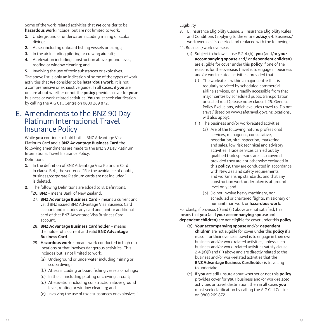Some of the work-related activities that **we** consider to be **hazardous work** include, but are not limited to work:

- **1.** Underground or underwater including mining or scuba diving;
- **2.** At sea including onboard fishing vessels or oil rigs;
- **3.** In the air including piloting or crewing aircraft;
- **4.** At elevation including construction above ground level, roofing or window cleaning; and
- **5.** Involving the use of toxic substances or explosives.

The above list is only an indication of some of the types of work activities that **we** consider to be **hazardous work**. It is not a comprehensive or exhaustive guide. In all cases, if **you** are unsure about whether or not the **policy** provides cover for **your** business or work-related activities, **You** must seek clarification by calling the AIG Call Centre on 0800 269 872.

# E. Amendments to the BNZ 90 Day Platinum International Travel Insurance Policy

While **you** continue to hold both a BNZ Advantage Visa Platinum Card and a **BNZ Advantage Business Card** the following amendments are made to the BNZ 90 Day Platinum International Travel Insurance Policy.

### Definitions

- **1.** In the definition of BNZ Advantage Visa Platinum Card in clause B.4., the sentence "For the avoidance of doubt, business/corporate Platinum cards are not included" is deleted.
- **2.** The following Definitions are added to B. Definitions: "26. **BNZ** - means Bank of New Zealand.
	- 27. **BNZ Advantage Business Card** means a current and valid BNZ issued BNZ Advantage Visa Business Card account and includes any card and joint or additional card of that BNZ Advantage Visa Business Card account.
	- 28. **BNZ Advantage Business Cardholder** means the holder of a current and valid **BNZ Advantage Business Card**.
	- 29. **Hazardous work** means work conducted in high risk locations or that involves dangerous activities. This includes but is not limited to work:
		- (a) Underground or underwater including mining or scuba diving;
		- (b) At sea including onboard fishing vessels or oil rigs:
		- (c) In the air including piloting or crewing aircraft;
		- (d) At elevation including construction above ground level, roofing or window cleaning; and
		- (e) Involving the use of toxic substances or explosives."

# Eligibility

- **3.** E. Insurance Eligibility Clause; 2. Insurance Eligibility Rules and Conditions (applying to the entire **policy**); 4. Business/ work overseas' is deleted and replaced with the following:
- "4. Business/work overseas
	- (a) Subject to below clause E.2.4.(b), **you** (and/or **your accompanying spouse** and/ or **dependent children**) are eligible for cover under this **policy** if one of the reasons for the overseas travel is to engage in business and/or work-related activities, provided that:
		- (i) The worksite is within a major centre that is regularly serviced by scheduled commercial airline services, or is readily accessible from that major centre by scheduled public transportation or sealed road (please note: clause I.25. General Policy Exclusions, which excludes travel to 'Do not travel' listed on www.safetravel.govt.nz locations, will also apply);
		- (ii) The business and/or work-related activities:
			- (a) Are of the following nature: professional services, managerial, consultative, negotiation, site inspection, marketing and sales, low risk technical and advisory activities. Trade services carried out by qualified tradespersons are also covered provided they are not otherwise excluded in this **policy**, they are conducted in accordance with New Zealand safety requirements and workmanship standards, and that any construction work undertaken is at ground level only; and
			- (b) Do not involve heavy machinery, nonscheduled or chartered flights, missionary or humanitarian work or **hazardous work**.

For clarity, if provisos (i) and (ii) above are not satisfied, this means that **you** (and **your accompanying spouse** and **dependent children**) are not eligible for cover under this **policy**.

- (b) **Your accompanying spouse** and/or **dependent children** are not eligible for cover under this **policy** if a reason for their overseas travel is to engage in their own business and/or work-related activities, unless such business and/or work- related activities satisfy clause 2.4.(a)(i) and (ii) above and are directly related to the business and/or work-related activities that the **BNZ Advantage Business Cardholder** is travelling to undertake.
- (c) If **you** are still unsure about whether or not this **policy** provides cover for **your** business and/or work-related activities or travel destination, then in all cases **you** must seek clarification by calling the AIG Call Centre on 0800 269 872.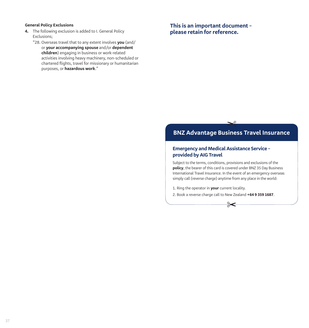### **General Policy Exclusions**

- **4.** The following exclusion is added to I. General Policy Exclusions;
	- "28. Overseas travel that to any extent involves **you** (and/ or **your accompanying spouse** and/or **dependent children**) engaging in business or work-related activities involving heavy machinery, non-scheduled or chartered flights, travel for missionary or humanitarian purposes, or **hazardous work**."

**This is an important document – please retain for reference.**

# **c**

# **BNZ Advantage Business Travel Insurance**

# **Emergency and Medical Assistance Service – provided by AIG Travel**

Subject to the terms, conditions, provisions and exclusions of the **policy**, the bearer of this card is covered under BNZ 35 Day Business International Travel Insurance. In the event of an emergency overseas simply call (reverse charge) anytime from any place in the world:

✂

1. Ring the operator in **your** current locality.

2. Book a reverse charge call to New Zealand **+64 9 359 1687**.